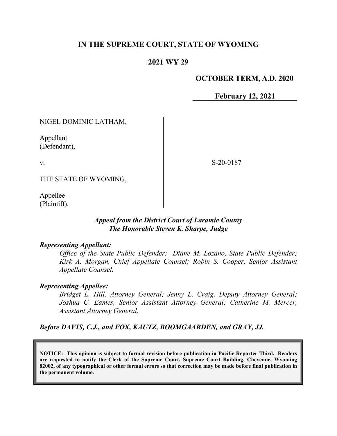# **IN THE SUPREME COURT, STATE OF WYOMING**

## **2021 WY 29**

#### **OCTOBER TERM, A.D. 2020**

**February 12, 2021**

NIGEL DOMINIC LATHAM,

Appellant (Defendant),

v.

S-20-0187

THE STATE OF WYOMING,

Appellee (Plaintiff).

#### *Appeal from the District Court of Laramie County The Honorable Steven K. Sharpe, Judge*

#### *Representing Appellant:*

*Office of the State Public Defender: Diane M. Lozano, State Public Defender; Kirk A. Morgan, Chief Appellate Counsel; Robin S. Cooper, Senior Assistant Appellate Counsel.*

#### *Representing Appellee:*

*Bridget L. Hill, Attorney General; Jenny L. Craig, Deputy Attorney General; Joshua C. Eames, Senior Assistant Attorney General; Catherine M. Mercer, Assistant Attorney General.*

*Before DAVIS, C.J., and FOX, KAUTZ, BOOMGAARDEN, and GRAY, JJ.*

**NOTICE: This opinion is subject to formal revision before publication in Pacific Reporter Third. Readers are requested to notify the Clerk of the Supreme Court, Supreme Court Building, Cheyenne, Wyoming 82002, of any typographical or other formal errors so that correction may be made before final publication in the permanent volume.**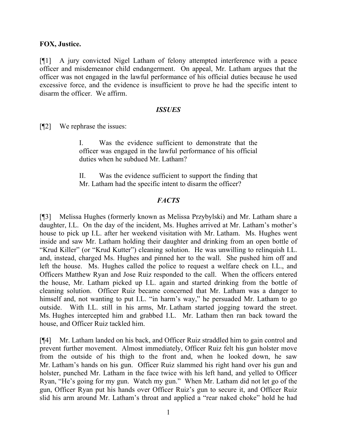#### **FOX, Justice.**

[¶1] A jury convicted Nigel Latham of felony attempted interference with a peace officer and misdemeanor child endangerment. On appeal, Mr. Latham argues that the officer was not engaged in the lawful performance of his official duties because he used excessive force, and the evidence is insufficient to prove he had the specific intent to disarm the officer. We affirm.

#### *ISSUES*

[¶2] We rephrase the issues:

I. Was the evidence sufficient to demonstrate that the officer was engaged in the lawful performance of his official duties when he subdued Mr. Latham?

II. Was the evidence sufficient to support the finding that Mr. Latham had the specific intent to disarm the officer?

### *FACTS*

[¶3] Melissa Hughes (formerly known as Melissa Przybylski) and Mr. Latham share a daughter, I.L. On the day of the incident, Ms. Hughes arrived at Mr. Latham's mother's house to pick up I.L. after her weekend visitation with Mr. Latham. Ms. Hughes went inside and saw Mr. Latham holding their daughter and drinking from an open bottle of "Krud Killer" (or "Krud Kutter") cleaning solution. He was unwilling to relinquish I.L. and, instead, charged Ms. Hughes and pinned her to the wall. She pushed him off and left the house. Ms. Hughes called the police to request a welfare check on I.L., and Officers Matthew Ryan and Jose Ruiz responded to the call. When the officers entered the house, Mr. Latham picked up I.L. again and started drinking from the bottle of cleaning solution. Officer Ruiz became concerned that Mr. Latham was a danger to himself and, not wanting to put I.L. "in harm's way," he persuaded Mr. Latham to go outside. With I.L. still in his arms, Mr. Latham started jogging toward the street. Ms. Hughes intercepted him and grabbed I.L. Mr. Latham then ran back toward the house, and Officer Ruiz tackled him.

[¶4] Mr. Latham landed on his back, and Officer Ruiz straddled him to gain control and prevent further movement. Almost immediately, Officer Ruiz felt his gun holster move from the outside of his thigh to the front and, when he looked down, he saw Mr. Latham's hands on his gun. Officer Ruiz slammed his right hand over his gun and holster, punched Mr. Latham in the face twice with his left hand, and yelled to Officer Ryan, "He's going for my gun. Watch my gun." When Mr. Latham did not let go of the gun, Officer Ryan put his hands over Officer Ruiz's gun to secure it, and Officer Ruiz slid his arm around Mr. Latham's throat and applied a "rear naked choke" hold he had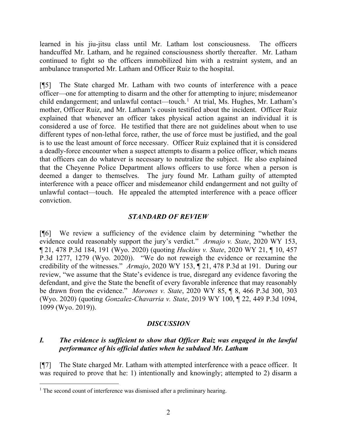learned in his jiu-jitsu class until Mr. Latham lost consciousness. The officers handcuffed Mr. Latham, and he regained consciousness shortly thereafter. Mr. Latham continued to fight so the officers immobilized him with a restraint system, and an ambulance transported Mr. Latham and Officer Ruiz to the hospital.

[¶5] The State charged Mr. Latham with two counts of interference with a peace officer—one for attempting to disarm and the other for attempting to injure; misdemeanor child endangerment; and unlawful contact—touch.<sup>[1](#page-2-0)</sup> At trial, Ms. Hughes, Mr. Latham's mother, Officer Ruiz, and Mr. Latham's cousin testified about the incident. Officer Ruiz explained that whenever an officer takes physical action against an individual it is considered a use of force. He testified that there are not guidelines about when to use different types of non-lethal force, rather, the use of force must be justified, and the goal is to use the least amount of force necessary. Officer Ruiz explained that it is considered a deadly-force encounter when a suspect attempts to disarm a police officer, which means that officers can do whatever is necessary to neutralize the subject. He also explained that the Cheyenne Police Department allows officers to use force when a person is deemed a danger to themselves. The jury found Mr. Latham guilty of attempted interference with a peace officer and misdemeanor child endangerment and not guilty of unlawful contact—touch. He appealed the attempted interference with a peace officer conviction.

## *STANDARD OF REVIEW*

[¶6] We review a sufficiency of the evidence claim by determining "whether the evidence could reasonably support the jury's verdict." *Armajo v. State*, 2020 WY 153, ¶ 21, 478 P.3d 184, 191 (Wyo. 2020) (quoting *Huckins v. State*, 2020 WY 21, ¶ 10, 457 P.3d 1277, 1279 (Wyo. 2020)). "We do not reweigh the evidence or reexamine the credibility of the witnesses." *Armajo*, 2020 WY 153, ¶ 21, 478 P.3d at 191.During our review, "we assume that the State's evidence is true, disregard any evidence favoring the defendant, and give the State the benefit of every favorable inference that may reasonably be drawn from the evidence." *Morones v. State*, 2020 WY 85, ¶ 8, 466 P.3d 300, 303 (Wyo. 2020) (quoting *Gonzalez-Chavarria v. State*, 2019 WY 100, ¶ 22, 449 P.3d 1094, 1099 (Wyo. 2019)).

## *DISCUSSION*

# *I. The evidence is sufficient to show that Officer Ruiz was engaged in the lawful performance of his official duties when he subdued Mr. Latham*

[¶7] The State charged Mr. Latham with attempted interference with a peace officer. It was required to prove that he: 1) intentionally and knowingly; attempted to 2) disarm a

<span id="page-2-0"></span><sup>&</sup>lt;sup>1</sup> The second count of interference was dismissed after a preliminary hearing.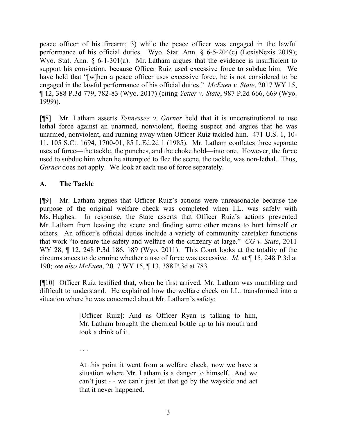peace officer of his firearm; 3) while the peace officer was engaged in the lawful performance of his official duties. Wyo. Stat. Ann. § 6-5-204(c) (LexisNexis 2019); Wyo. Stat. Ann. § 6-1-301(a). Mr. Latham argues that the evidence is insufficient to support his conviction, because Officer Ruiz used excessive force to subdue him. We have held that "[w]hen a peace officer uses excessive force, he is not considered to be engaged in the lawful performance of his official duties." *McEuen v. State*, 2017 WY 15, ¶ 12, 388 P.3d 779, 782-83 (Wyo. 2017) (citing *Yetter v. State*, 987 P.2d 666, 669 (Wyo. 1999)).

[¶8] Mr. Latham asserts *Tennessee v. Garner* held that it is unconstitutional to use lethal force against an unarmed, nonviolent, fleeing suspect and argues that he was unarmed, nonviolent, and running away when Officer Ruiz tackled him. 471 U.S. 1, 10- 11, 105 S.Ct. 1694, 1700-01, 85 L.Ed.2d 1 (1985). Mr. Latham conflates three separate uses of force—the tackle, the punches, and the choke hold—into one. However, the force used to subdue him when he attempted to flee the scene, the tackle, was non-lethal. Thus, *Garner* does not apply. We look at each use of force separately.

# **A. The Tackle**

[¶9] Mr. Latham argues that Officer Ruiz's actions were unreasonable because the purpose of the original welfare check was completed when I.L. was safely with Ms. Hughes. In response, the State asserts that Officer Ruiz's actions prevented Mr. Latham from leaving the scene and finding some other means to hurt himself or others. An officer's official duties include a variety of community caretaker functions that work "to ensure the safety and welfare of the citizenry at large." *CG v. State*, 2011 WY 28, ¶ 12, 248 P.3d 186, 189 (Wyo. 2011). This Court looks at the totality of the circumstances to determine whether a use of force was excessive. *Id.* at ¶ 15, 248 P.3d at 190; *see also McEuen*, 2017 WY 15, ¶ 13, 388 P.3d at 783.

[¶10] Officer Ruiz testified that, when he first arrived, Mr. Latham was mumbling and difficult to understand. He explained how the welfare check on I.L. transformed into a situation where he was concerned about Mr. Latham's safety:

> [Officer Ruiz]: And as Officer Ryan is talking to him, Mr. Latham brought the chemical bottle up to his mouth and took a drink of it.

. . .

At this point it went from a welfare check, now we have a situation where Mr. Latham is a danger to himself. And we can't just - - we can't just let that go by the wayside and act that it never happened.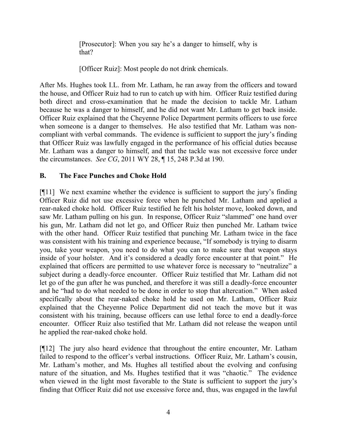[Prosecutor]: When you say he's a danger to himself, why is that?

[Officer Ruiz]: Most people do not drink chemicals.

After Ms. Hughes took I.L. from Mr. Latham, he ran away from the officers and toward the house, and Officer Ruiz had to run to catch up with him. Officer Ruiz testified during both direct and cross-examination that he made the decision to tackle Mr. Latham because he was a danger to himself, and he did not want Mr. Latham to get back inside. Officer Ruiz explained that the Cheyenne Police Department permits officers to use force when someone is a danger to themselves. He also testified that Mr. Latham was noncompliant with verbal commands. The evidence is sufficient to support the jury's finding that Officer Ruiz was lawfully engaged in the performance of his official duties because Mr. Latham was a danger to himself, and that the tackle was not excessive force under the circumstances. *See CG*, 2011 WY 28, ¶ 15, 248 P.3d at 190.

# **B. The Face Punches and Choke Hold**

[¶11] We next examine whether the evidence is sufficient to support the jury's finding Officer Ruiz did not use excessive force when he punched Mr. Latham and applied a rear-naked choke hold. Officer Ruiz testified he felt his holster move, looked down, and saw Mr. Latham pulling on his gun. In response, Officer Ruiz "slammed" one hand over his gun, Mr. Latham did not let go, and Officer Ruiz then punched Mr. Latham twice with the other hand. Officer Ruiz testified that punching Mr. Latham twice in the face was consistent with his training and experience because, "If somebody is trying to disarm you, take your weapon, you need to do what you can to make sure that weapon stays inside of your holster. And it's considered a deadly force encounter at that point." He explained that officers are permitted to use whatever force is necessary to "neutralize" a subject during a deadly-force encounter. Officer Ruiz testified that Mr. Latham did not let go of the gun after he was punched, and therefore it was still a deadly-force encounter and he "had to do what needed to be done in order to stop that altercation." When asked specifically about the rear-naked choke hold he used on Mr. Latham, Officer Ruiz explained that the Cheyenne Police Department did not teach the move but it was consistent with his training, because officers can use lethal force to end a deadly-force encounter. Officer Ruiz also testified that Mr. Latham did not release the weapon until he applied the rear-naked choke hold.

[¶12] The jury also heard evidence that throughout the entire encounter, Mr. Latham failed to respond to the officer's verbal instructions. Officer Ruiz, Mr. Latham's cousin, Mr. Latham's mother, and Ms. Hughes all testified about the evolving and confusing nature of the situation, and Ms. Hughes testified that it was "chaotic." The evidence when viewed in the light most favorable to the State is sufficient to support the jury's finding that Officer Ruiz did not use excessive force and, thus, was engaged in the lawful